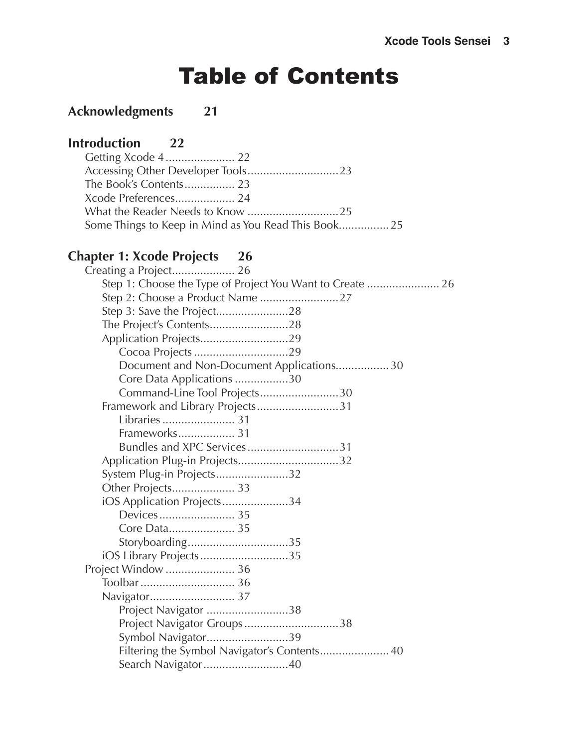# Table of Contents

#### **[Acknowledgments 21](#page-0-0)**

#### **Introduction** 22

#### <span id="page-0-0"></span>**Chapter 1: Xcode [Projects 26](#page-0-0)**

| Step 3: Save the Project28                   |
|----------------------------------------------|
|                                              |
| Application Projects29                       |
|                                              |
| Document and Non-Document Applications 30    |
| Core Data Applications 30                    |
| Command-Line Tool Projects30                 |
| Framework and Library Projects31             |
|                                              |
| Frameworks 31                                |
| Bundles and XPC Services31                   |
| Application Plug-in Projects32               |
| System Plug-in Projects32                    |
| Other Projects 33                            |
| iOS Application Projects34                   |
|                                              |
|                                              |
| Storyboarding35                              |
| iOS Library Projects35                       |
| Project Window  36                           |
|                                              |
| Navigator 37                                 |
| Project Navigator 38                         |
| Project Navigator Groups38                   |
| Symbol Navigator39                           |
| Filtering the Symbol Navigator's Contents 40 |
| Search Navigator 40                          |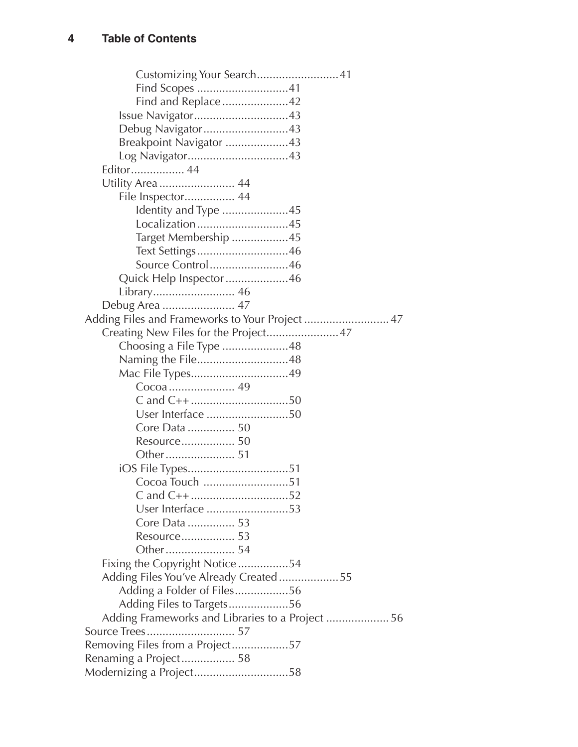<span id="page-1-0"></span>

| Customizing Your Search41                       |
|-------------------------------------------------|
|                                                 |
| Find and Replace42                              |
| Issue Navigator43                               |
| Debug Navigator43                               |
| Breakpoint Navigator 43                         |
| Log Navigator43                                 |
| Editor 44                                       |
| Utility Area  44                                |
| File Inspector 44                               |
| Identity and Type 45                            |
| Localization45                                  |
| Target Membership 45                            |
| Text Settings46                                 |
| Source Control46                                |
| Quick Help Inspector 46                         |
|                                                 |
| Debug Area  47                                  |
| Adding Files and Frameworks to Your Project  47 |
| Creating New Files for the Project47            |
| Choosing a File Type 48                         |
| Naming the File48                               |
| Mac File Types49                                |
|                                                 |
|                                                 |
| User Interface 50                               |
| Core Data  50                                   |
| Resource 50                                     |
|                                                 |
|                                                 |
| Cocoa Touch 51                                  |
|                                                 |
| User Interface 53                               |
| Core Data  53                                   |
| Resource 53                                     |
|                                                 |
| Fixing the Copyright Notice54                   |
| Adding Files You've Already Created55           |
| Adding a Folder of Files56                      |
| Adding Files to Targets56                       |
| Adding Frameworks and Libraries to a Project 56 |
|                                                 |
| Removing Files from a Project57                 |
| Renaming a Project 58                           |
| Modernizing a Project58                         |
|                                                 |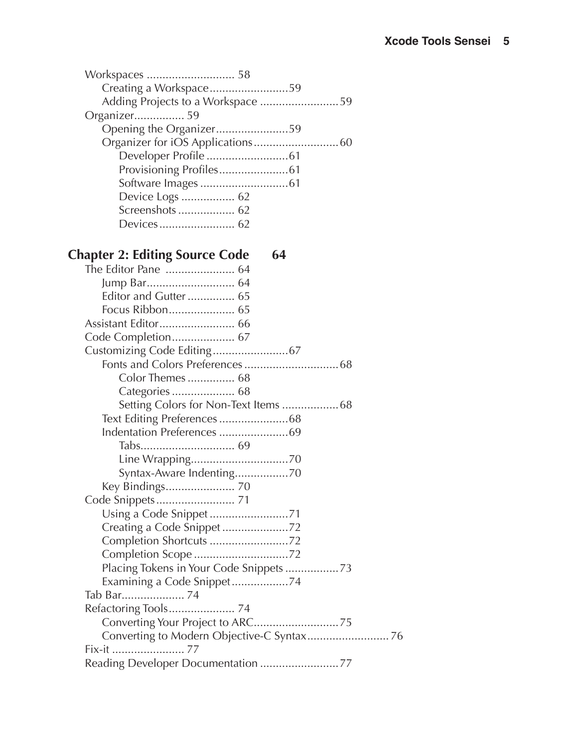<span id="page-2-0"></span>

| Creating a Workspace59            |  |
|-----------------------------------|--|
| Adding Projects to a Workspace 59 |  |
| Organizer 59                      |  |
| Opening the Organizer59           |  |
|                                   |  |
|                                   |  |
|                                   |  |
|                                   |  |
| Device Logs  62                   |  |
| Screenshots  62                   |  |
|                                   |  |

#### **Chapter 2: Editing Source [Code 64](#page-0-0)**

| The Editor Pane  64        |
|----------------------------|
|                            |
| Editor and Gutter 65       |
| Focus Ribbon 65            |
|                            |
|                            |
|                            |
|                            |
| Color Themes  68           |
| Categories  68             |
|                            |
|                            |
| Indentation Preferences 69 |
|                            |
|                            |
| Syntax-Aware Indenting70   |
| Key Bindings 70            |
|                            |
| Using a Code Snippet 71    |
| Creating a Code Snippet 72 |
|                            |
| Completion Scope 72        |
|                            |
| Examining a Code Snippet74 |
|                            |
| Refactoring Tools 74       |
|                            |
|                            |
|                            |
|                            |
|                            |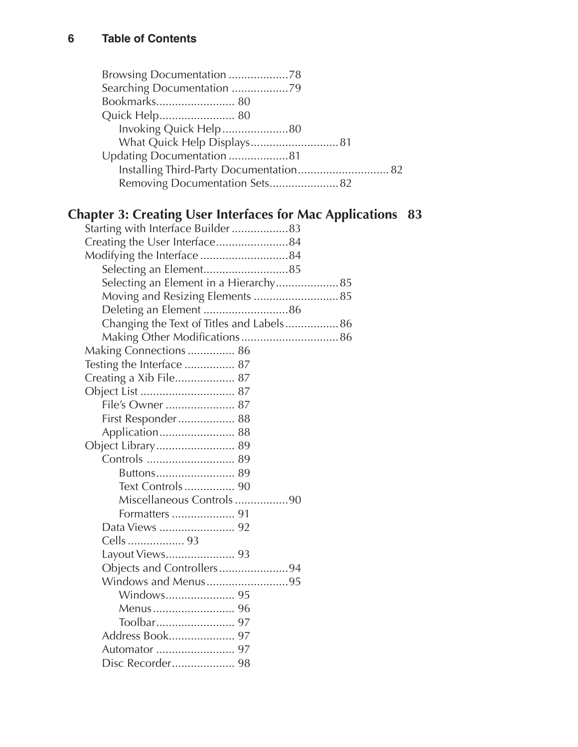<span id="page-3-0"></span>

| Browsing Documentation 78                                              |
|------------------------------------------------------------------------|
| Searching Documentation 79                                             |
|                                                                        |
| Quick Help 80                                                          |
| Invoking Quick Help80                                                  |
|                                                                        |
| Updating Documentation 81                                              |
| Installing Third-Party Documentation 82                                |
| Removing Documentation Sets 82                                         |
|                                                                        |
|                                                                        |
| <b>Chapter 3: Creating User Interfaces for Mac Applications</b><br>-83 |
| Starting with Interface Builder  83                                    |
| Creating the User Interface84                                          |
|                                                                        |
| Selecting an Element85                                                 |
| Selecting an Element in a Hierarchy 85                                 |
| Moving and Resizing Elements  85                                       |
|                                                                        |
| Changing the Text of Titles and Labels 86                              |
|                                                                        |
| Making Connections  86                                                 |
| Testing the Interface  87                                              |
| Creating a Xib File 87                                                 |
|                                                                        |
|                                                                        |
| First Responder 88                                                     |
| Application 88                                                         |
| Object Library 89                                                      |
|                                                                        |
|                                                                        |
|                                                                        |
| Miscellaneous Controls90                                               |
|                                                                        |
|                                                                        |
|                                                                        |
|                                                                        |
| Objects and Controllers94                                              |
| Windows and Menus95                                                    |
|                                                                        |
|                                                                        |
|                                                                        |
|                                                                        |
|                                                                        |
|                                                                        |
|                                                                        |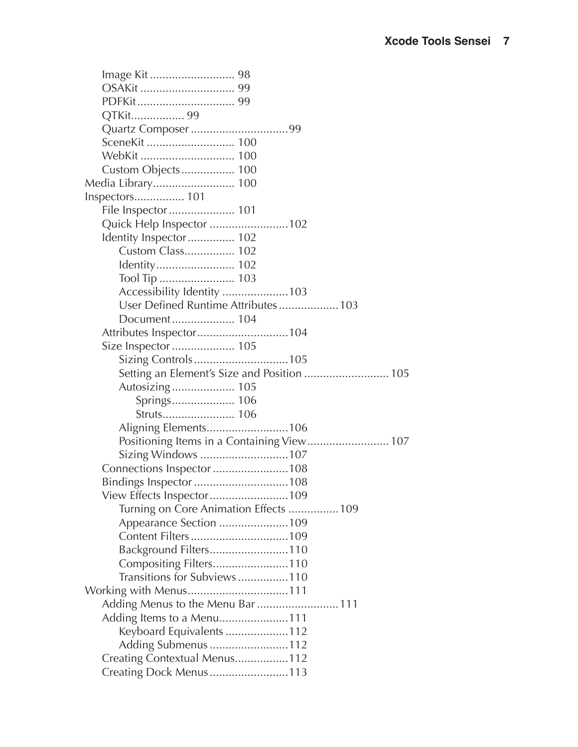<span id="page-4-0"></span>

| QTKit 99                                    |
|---------------------------------------------|
|                                             |
|                                             |
|                                             |
| Custom Objects 100                          |
|                                             |
| Inspectors 101                              |
| File Inspector  101                         |
| Quick Help Inspector 102                    |
| Identity Inspector 102                      |
| Custom Class 102                            |
|                                             |
|                                             |
| Accessibility Identity 103                  |
| User Defined Runtime Attributes103          |
| Document 104                                |
|                                             |
| Size Inspector  105                         |
|                                             |
| Setting an Element's Size and Position  105 |
| Autosizing 105                              |
|                                             |
| Struts 106                                  |
|                                             |
|                                             |
| Sizing Windows 107                          |
| Connections Inspector 108                   |
|                                             |
| View Effects Inspector109                   |
| Turning on Core Animation Effects  109      |
| Appearance Section 109                      |
|                                             |
| Background Filters110                       |
| Compositing Filters110                      |
| Transitions for Subviews110                 |
|                                             |
| Adding Menus to the Menu Bar  111           |
| Adding Items to a Menu111                   |
| Keyboard Equivalents 112                    |
| Adding Submenus 112                         |
| Creating Contextual Menus112                |
| Creating Dock Menus113                      |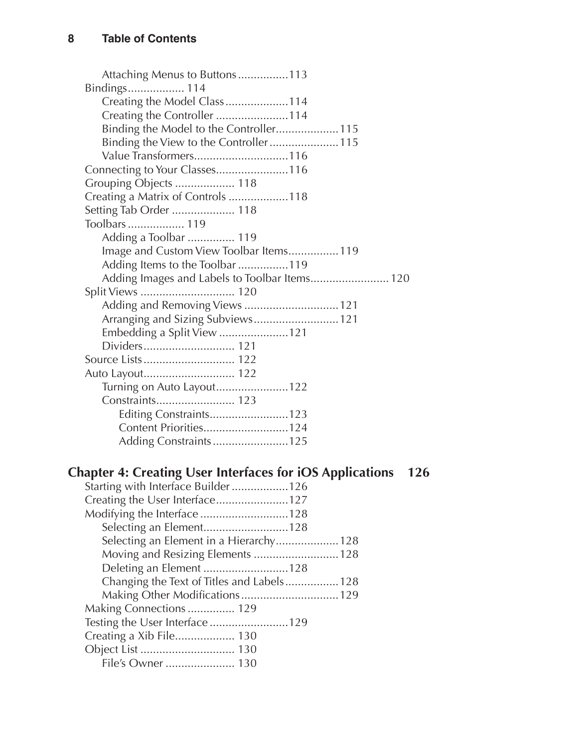<span id="page-5-0"></span>

| Attaching Menus to Buttons113                                                 |
|-------------------------------------------------------------------------------|
| Bindings 114                                                                  |
| Creating the Model Class 114                                                  |
| Creating the Controller 114                                                   |
| Binding the Model to the Controller 115                                       |
| Binding the View to the Controller 115                                        |
| Value Transformers116                                                         |
| Connecting to Your Classes116                                                 |
| Grouping Objects  118                                                         |
| Creating a Matrix of Controls 118                                             |
| Setting Tab Order  118                                                        |
| Toolbars 119                                                                  |
| Adding a Toolbar  119                                                         |
| Image and Custom View Toolbar Items119                                        |
| Adding Items to the Toolbar 119                                               |
| Adding Images and Labels to Toolbar Items 120                                 |
|                                                                               |
| Adding and Removing Views  121                                                |
| Arranging and Sizing Subviews 121                                             |
| Embedding a Split View 121                                                    |
| Dividers 121                                                                  |
|                                                                               |
|                                                                               |
| Turning on Auto Layout122                                                     |
|                                                                               |
| Editing Constraints123                                                        |
| Content Priorities124                                                         |
|                                                                               |
|                                                                               |
| <b>Chapter 4: Creating User Interfaces for iOS Applications</b><br><b>126</b> |
| Starting with Interface Builder 126                                           |
| Creating the User Interface127                                                |
| Modifying the Interface the 128                                               |

| Modifying the Interface 128                |  |
|--------------------------------------------|--|
| Selecting an Element128                    |  |
| Selecting an Element in a Hierarchy 128    |  |
| Moving and Resizing Elements  128          |  |
| Deleting an Element 128                    |  |
| Changing the Text of Titles and Labels 128 |  |
| Making Other Modifications 129             |  |
| Making Connections 129                     |  |
| Testing the User Interface129              |  |
|                                            |  |
|                                            |  |
| File's Owner  130                          |  |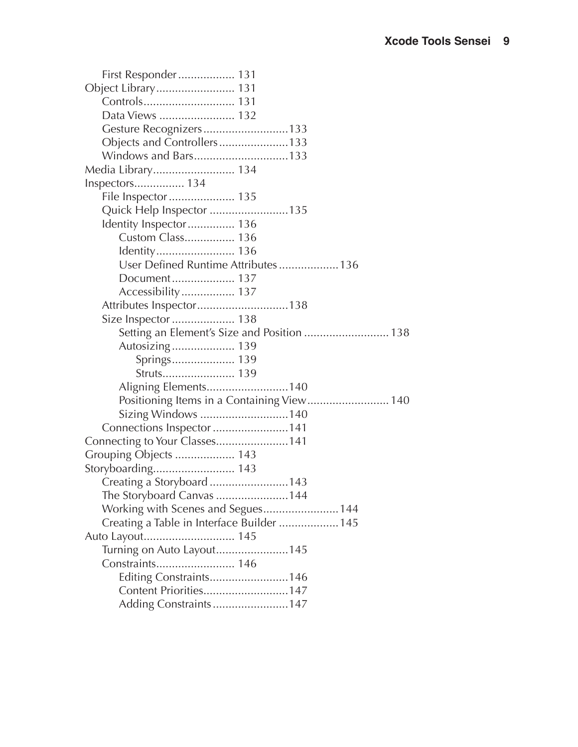<span id="page-6-0"></span>

| First Responder 131                         |
|---------------------------------------------|
| Object Library 131                          |
|                                             |
|                                             |
| Gesture Recognizers133                      |
| Objects and Controllers133                  |
| Windows and Bars133                         |
| Media Library 134                           |
| Inspectors 134                              |
| File Inspector  135                         |
| Quick Help Inspector 135                    |
| Identity Inspector 136                      |
| Custom Class 136                            |
|                                             |
| User Defined Runtime Attributes 136         |
| Document 137                                |
|                                             |
| Attributes Inspector138                     |
| Size Inspector  138                         |
| Setting an Element's Size and Position  138 |
| Autosizing 139                              |
| Springs 139                                 |
| Struts 139                                  |
| Aligning Elements140                        |
| Positioning Items in a Containing View 140  |
| Sizing Windows 140                          |
| Connections Inspector 141                   |
| Connecting to Your Classes141               |
| Grouping Objects  143                       |
|                                             |
| Creating a Storyboard 143                   |
| The Storyboard Canvas 144                   |
| Working with Scenes and Segues 144          |
| Creating a Table in Interface Builder  145  |
|                                             |
| Turning on Auto Layout145                   |
| Constraints 146                             |
| Editing Constraints146                      |
| Content Priorities147                       |
| Adding Constraints 147                      |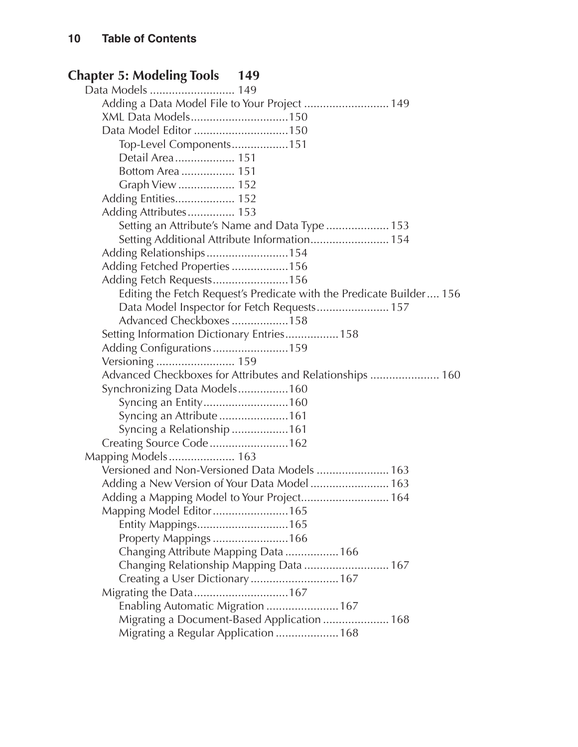#### <span id="page-7-0"></span>**Chapter 5: Modeling [Tools 149](#page-0-0)**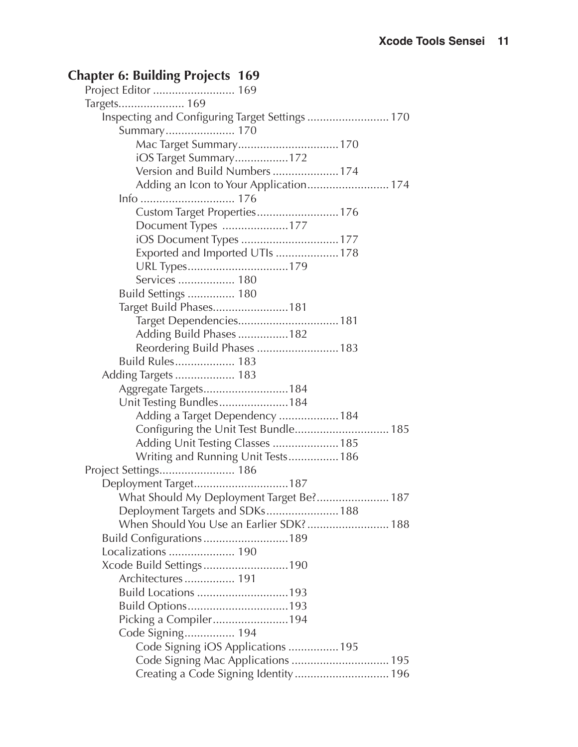### <span id="page-8-0"></span>**Chapter 6: Building [Projects 169](#page-0-0)**

| Targets 169                                     |
|-------------------------------------------------|
| Inspecting and Configuring Target Settings  170 |
| Summary 170                                     |
| Mac Target Summary 170                          |
| iOS Target Summary172                           |
| Version and Build Numbers174                    |
| Adding an Icon to Your Application 174          |
|                                                 |
|                                                 |
| Document Types 177                              |
| iOS Document Types  177                         |
| Exported and Imported UTIs  178                 |
|                                                 |
| Services  180                                   |
| Build Settings  180                             |
| Target Build Phases181                          |
| Target Dependencies 181                         |
| Adding Build Phases182                          |
| Reordering Build Phases  183                    |
| Build Rules 183                                 |
|                                                 |
| Aggregate Targets184                            |
| Unit Testing Bundles184                         |
| Adding a Target Dependency  184                 |
| Configuring the Unit Test Bundle 185            |
| Adding Unit Testing Classes  185                |
| Writing and Running Unit Tests 186              |
|                                                 |
| Deployment Target187                            |
| What Should My Deployment Target Be? 187        |
| Deployment Targets and SDKs 188                 |
| When Should You Use an Earlier SDK? 188         |
| Build Configurations189                         |
| Localizations  190                              |
| Xcode Build Settings190                         |
| Architectures 191                               |
| Build Locations 193                             |
| Build Options193                                |
| Picking a Compiler194                           |
| Code Signing 194                                |
| Code Signing iOS Applications  195              |
| Code Signing Mac Applications  195              |
| Creating a Code Signing Identity 196            |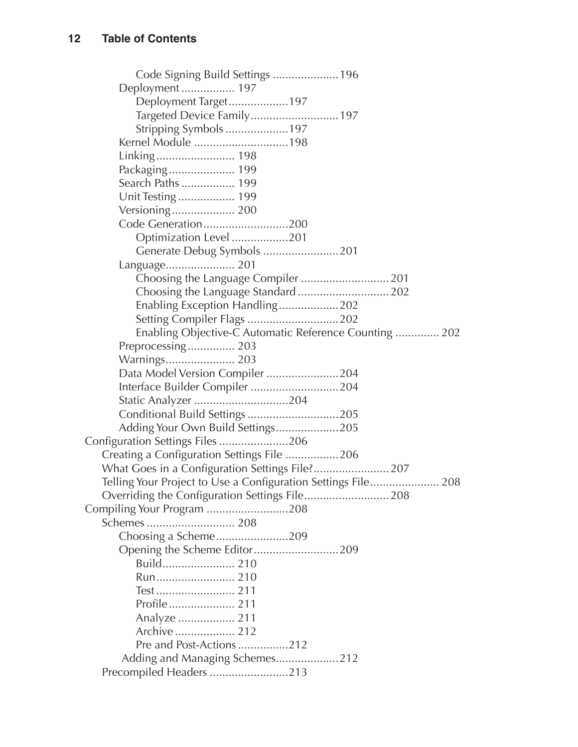<span id="page-9-0"></span>

| Deployment  197                                               |  |
|---------------------------------------------------------------|--|
| Deployment Target197                                          |  |
| Targeted Device Family 197                                    |  |
| Stripping Symbols 197                                         |  |
| Kernel Module 198                                             |  |
| Linking 198                                                   |  |
| Packaging 199                                                 |  |
| Search Paths  199                                             |  |
| Unit Testing  199                                             |  |
| Versioning 200                                                |  |
| Code Generation200                                            |  |
| Optimization Level 201                                        |  |
| Generate Debug Symbols 201                                    |  |
| Language 201                                                  |  |
| Choosing the Language Compiler  201                           |  |
| Choosing the Language Standard  202                           |  |
| Enabling Exception Handling202                                |  |
| Setting Compiler Flags 202                                    |  |
| Enabling Objective-C Automatic Reference Counting  202        |  |
| Preprocessing 203                                             |  |
| Warnings 203                                                  |  |
| Data Model Version Compiler 204                               |  |
| Interface Builder Compiler 204                                |  |
| Static Analyzer 204                                           |  |
| Conditional Build Settings 205                                |  |
| Adding Your Own Build Settings205                             |  |
| Configuration Settings Files 206                              |  |
| Creating a Configuration Settings File 206                    |  |
| What Goes in a Configuration Settings File? 207               |  |
| Telling Your Project to Use a Configuration Settings File 208 |  |
|                                                               |  |
| Compiling Your Program 208                                    |  |
|                                                               |  |
| Choosing a Scheme209                                          |  |
| Opening the Scheme Editor209                                  |  |
|                                                               |  |
|                                                               |  |
|                                                               |  |
|                                                               |  |
| Analyze  211                                                  |  |
| Archive  212                                                  |  |
| Pre and Post-Actions 212                                      |  |
| Adding and Managing Schemes212                                |  |
| Precompiled Headers 213                                       |  |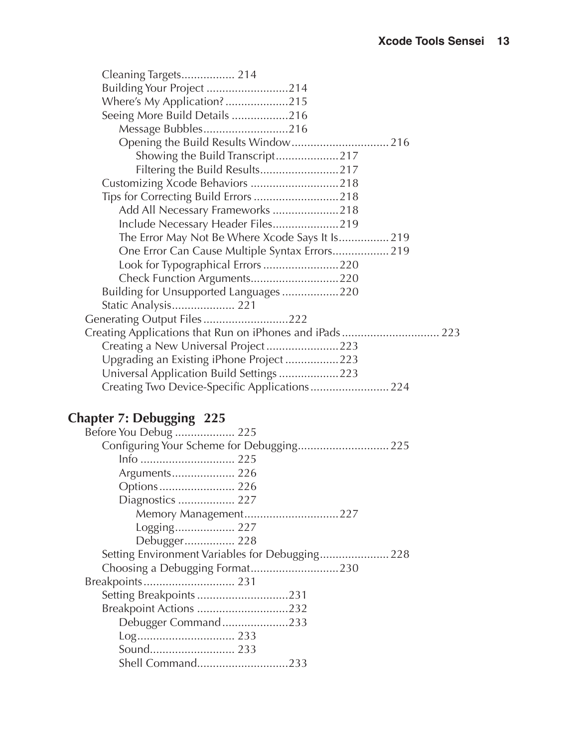<span id="page-10-0"></span>

| Cleaning Targets 214                            |
|-------------------------------------------------|
| Building Your Project 214                       |
| Where's My Application?215                      |
| Seeing More Build Details 216                   |
| Message Bubbles216                              |
| Opening the Build Results Window 216            |
| Showing the Build Transcript217                 |
| Filtering the Build Results217                  |
| Customizing Xcode Behaviors 218                 |
| Tips for Correcting Build Errors 218            |
| Add All Necessary Frameworks 218                |
|                                                 |
| The Error May Not Be Where Xcode Says It Is 219 |
| One Error Can Cause Multiple Syntax Errors 219  |
| Look for Typographical Errors 220               |
| Check Function Arguments220                     |
| Building for Unsupported Languages220           |
| Static Analysis 221                             |
| Generating Output Files222                      |
|                                                 |
| Creating a New Universal Project223             |
| Upgrading an Existing iPhone Project223         |
| Universal Application Build Settings 223        |
|                                                 |
|                                                 |

## **Chapter 7: [Debugging 225](#page-0-0)**

| Before You Debug  225                           |
|-------------------------------------------------|
| Configuring Your Scheme for Debugging 225       |
| Info  225                                       |
| Arguments 226                                   |
|                                                 |
| Diagnostics  227                                |
| Memory Management227                            |
| Logging 227                                     |
| Debugger 228                                    |
|                                                 |
| Setting Environment Variables for Debugging 228 |
|                                                 |
|                                                 |
|                                                 |
| Breakpoint Actions 232                          |
| Debugger Command233                             |
|                                                 |
| Shell Command233                                |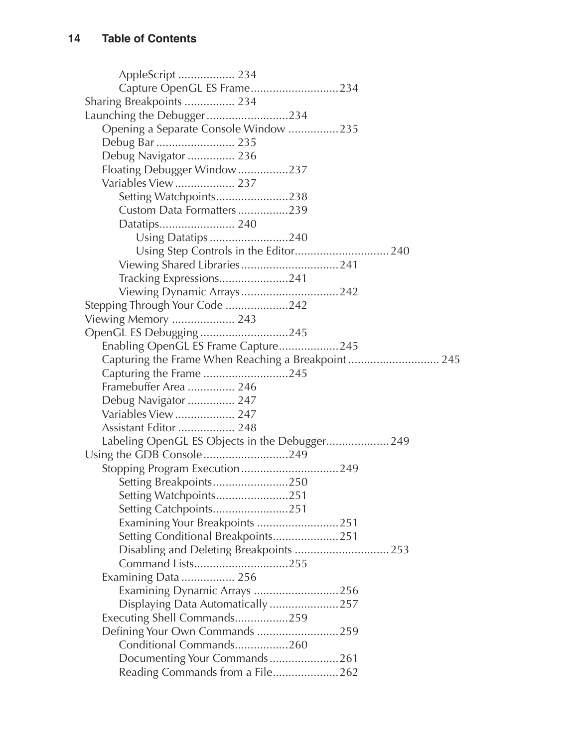<span id="page-11-0"></span>AppleScript [..................](#page-9-0) 234 [Capture OpenGL ES Frame............................234](#page-9-0) [Sharing Breakpoints](#page-9-0) ................ 234 [Launching the Debugger..........................234](#page-9-0) [Opening a Separate Console Window](#page-10-0) ................235 Debug Bar [.........................](#page-10-0) 235 Debug Navigator ............... 236 [Floating Debugger Window................237](#page-12-0) [Variables View...................](#page-12-0) 237 [Setting Watchpoints.......................238](#page-13-0) [Custom Data Formatters................239](#page-14-0) [Datatips........................](#page-15-0) 240 [Using Datatips.........................240](#page-15-0) [Using Step Controls in the Editor..............................](#page-15-0) 240 [Viewing Shared Libraries...............................241](#page-16-0) [Tracking Expressions......................241](#page-16-0) [Viewing Dynamic Arrays...............................242](#page-17-0) [Stepping Through Your Code](#page-17-0) ....................242 [Viewing Memory](#page-18-0) .................... 243 [OpenGL ES Debugging](#page-20-0) ............................245 [Enabling OpenGL ES Frame Capture...................245](#page-20-0) [Capturing the Frame When Reaching a Breakpoint](#page-20-0) ............................. 245 Capturing the Frame [...........................245](#page-20-0) [Framebuffer Area](#page-21-0) ............... 246 [Debug Navigator](#page-22-0) ............... 247 [Variables View...................](#page-22-0) 247 [Assistant Editor](#page-23-0) .................. 248 [Labeling OpenGL ES Objects in the Debugger....................](#page-24-0) 249 [Using the GDB Console...........................249](#page-24-0) [Stopping Program Execution...............................249](#page-24-0) [Setting Breakpoints........................250](#page-25-0) [Setting Watchpoints.......................251](#page-26-0) [Setting Catchpoints........................251](#page-26-0) [Examining Your Breakpoints](#page-26-0) ..........................251 [Setting Conditional Breakpoints.....................251](#page-26-0) [Disabling and Deleting Breakpoints](#page-28-0) .............................. 253 [Command Lists..............................255](#page-30-0) [Examining Data](#page-31-0) ................. 256 [Examining Dynamic Arrays](#page-31-0) ...........................256 [Displaying Data Automatically](#page-32-0) ......................257 [Executing Shell Commands.................259](#page-34-0) [Defining Your Own Commands](#page-34-0) ..........................259 [Conditional Commands.................260](#page-35-0) [Documenting Your Commands......................261](#page-36-0) [Reading Commands from a File.....................262](#page-37-0)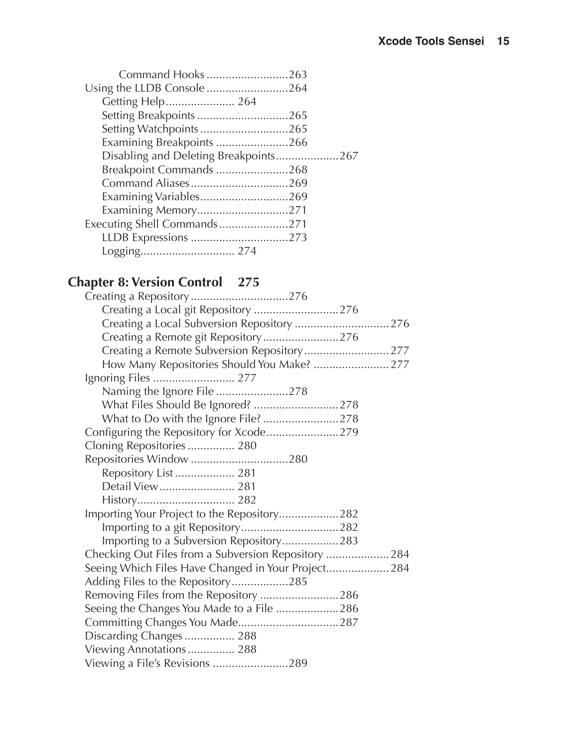<span id="page-12-0"></span>

| Command Hooks263                      |  |
|---------------------------------------|--|
| Using the LLDB Console264             |  |
| Getting Help 264                      |  |
| Setting Breakpoints 265               |  |
| Setting Watchpoints265                |  |
| Examining Breakpoints 266             |  |
| Disabling and Deleting Breakpoints267 |  |
| Breakpoint Commands 268               |  |
| Command Aliases269                    |  |
| Examining Variables269                |  |
| Examining Memory271                   |  |
| Executing Shell Commands271           |  |
| LLDB Expressions 273                  |  |
|                                       |  |

#### **Chapter 8: Version [Control](#page-0-0) 275**

| Creating a Local git Repository 276                  |
|------------------------------------------------------|
| Creating a Local Subversion Repository 276           |
| Creating a Remote git Repository276                  |
| Creating a Remote Subversion Repository277           |
|                                                      |
|                                                      |
| Naming the Ignore File278                            |
|                                                      |
| What to Do with the Ignore File? 278                 |
| Configuring the Repository for Xcode279              |
| Cloning Repositories  280                            |
|                                                      |
| Repository List  281                                 |
| Detail View 281                                      |
|                                                      |
| Importing Your Project to the Repository282          |
|                                                      |
| Importing to a Subversion Repository283              |
| Checking Out Files from a Subversion Repository  284 |
| Seeing Which Files Have Changed in Your Project 284  |
| Adding Files to the Repository285                    |
| Removing Files from the Repository 286               |
| Seeing the Changes You Made to a File 286            |
|                                                      |
| Discarding Changes  288                              |
| Viewing Annotations 288                              |
| Viewing a File's Revisions 289                       |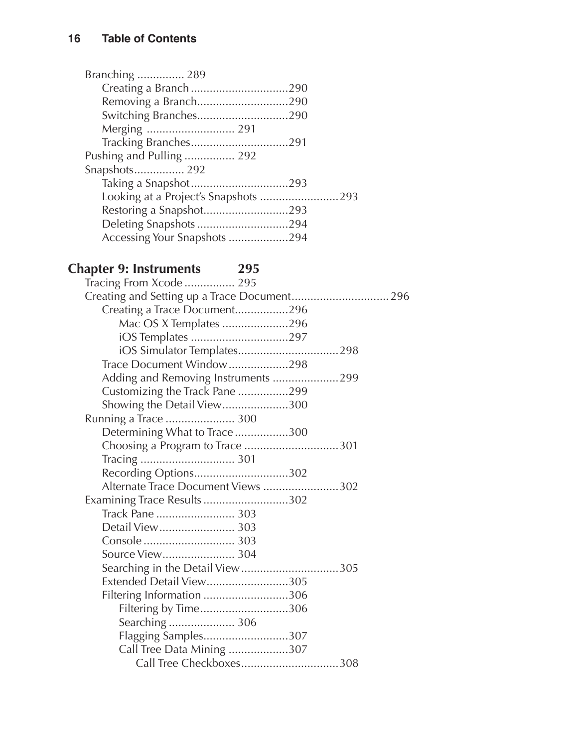<span id="page-13-0"></span>

| Branching  289               |  |
|------------------------------|--|
|                              |  |
| Removing a Branch290         |  |
| Switching Branches290        |  |
| Merging  291                 |  |
|                              |  |
| Pushing and Pulling  292     |  |
| Snapshots 292                |  |
|                              |  |
|                              |  |
| Restoring a Snapshot293      |  |
| Deleting Snapshots 294       |  |
| Accessing Your Snapshots 294 |  |
|                              |  |

#### **Chapter 9: [Instruments 295](#page-0-0)**

| Tracing From Xcode  295             |
|-------------------------------------|
|                                     |
| Creating a Trace Document296        |
| Mac OS X Templates 296              |
| iOS Templates 297                   |
|                                     |
| Trace Document Window298            |
| Adding and Removing Instruments 299 |
| Customizing the Track Pane 299      |
| Showing the Detail View300          |
| Running a Trace  300                |
| Determining What to Trace300        |
| Choosing a Program to Trace 301     |
|                                     |
| Recording Options302                |
| Alternate Trace Document Views 302  |
| Examining Trace Results302          |
| Track Pane  303                     |
|                                     |
|                                     |
|                                     |
| Searching in the Detail View305     |
| Extended Detail View305             |
| Filtering Information 306           |
| Filtering by Time306                |
| Searching  306                      |
| Flagging Samples307                 |
| Call Tree Data Mining 307           |
| Call Tree Checkboxes308             |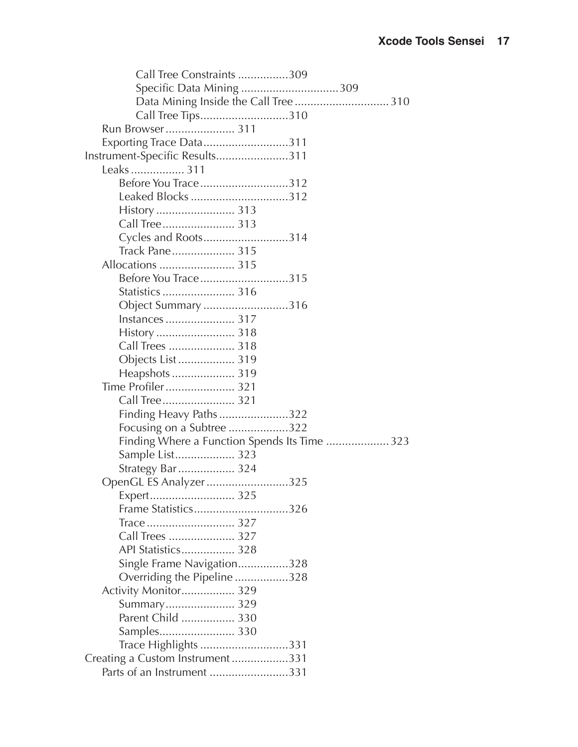<span id="page-14-0"></span>

| Call Tree Constraints 309                     |
|-----------------------------------------------|
| Specific Data Mining 309                      |
|                                               |
| Call Tree Tips310                             |
| Run Browser 311                               |
| Exporting Trace Data311                       |
| Instrument-Specific Results311                |
| Leaks  311                                    |
| Before You Trace312                           |
| Leaked Blocks 312                             |
|                                               |
|                                               |
| Cycles and Roots314                           |
| Track Pane 315                                |
|                                               |
| Before You Trace315                           |
|                                               |
| Object Summary 316                            |
| Instances  317                                |
|                                               |
| Call Trees  318                               |
| Objects List  319                             |
| Heapshots  319                                |
| Time Profiler  321                            |
| Call Tree 321                                 |
| Finding Heavy Paths322                        |
| Focusing on a Subtree 322                     |
| Finding Where a Function Spends Its Time  323 |
| Sample List 323                               |
| Strategy Bar  324                             |
| OpenGL ES Analyzer 325                        |
|                                               |
| Frame Statistics326                           |
|                                               |
| Call Trees  327                               |
| API Statistics 328                            |
| Single Frame Navigation328                    |
| Overriding the Pipeline 328                   |
| Activity Monitor 329                          |
| Summary 329                                   |
| Parent Child  330                             |
|                                               |
| Trace Highlights 331                          |
| Creating a Custom Instrument331               |
| Parts of an Instrument 331                    |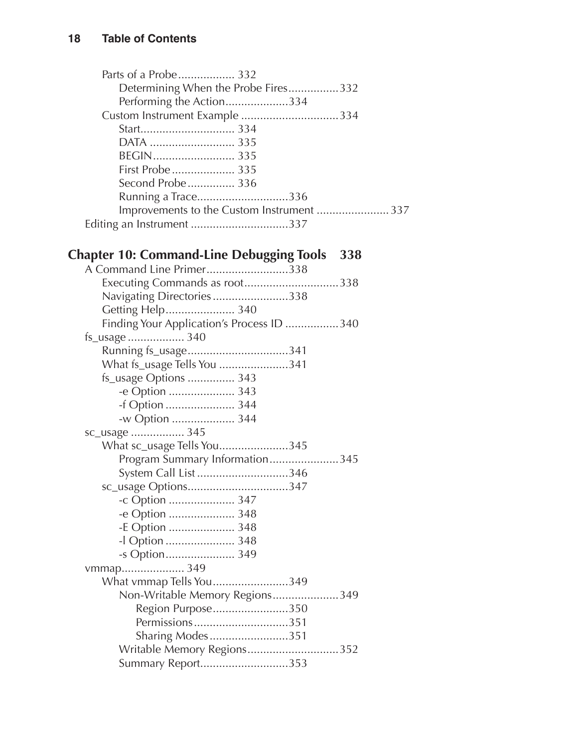<span id="page-15-0"></span>

|                           | Determining When the Probe Fires332       |
|---------------------------|-------------------------------------------|
| Performing the Action334  |                                           |
|                           |                                           |
|                           |                                           |
|                           |                                           |
|                           |                                           |
|                           |                                           |
| Second Probe 336          |                                           |
| Running a Trace336        |                                           |
|                           | Improvements to the Custom Instrument 337 |
| Editing an Instrument 337 |                                           |
|                           |                                           |

## **Chapter 10: [Command-Line](#page-0-0) Debugging Tools 338**

| A Command Line Primer338                  |  |
|-------------------------------------------|--|
| Executing Commands as root338             |  |
| Navigating Directories338                 |  |
| Getting Help 340                          |  |
| Finding Your Application's Process ID 340 |  |
| fs_usage  340                             |  |
| Running fs_usage341                       |  |
| What fs_usage Tells You 341               |  |
| fs_usage Options  343                     |  |
| -e Option  343                            |  |
| -f Option  344                            |  |
| -w Option  344                            |  |
| sc_usage  345                             |  |
| What sc_usage Tells You345                |  |
| Program Summary Information345            |  |
| System Call List 346                      |  |
|                                           |  |
| -c Option  347                            |  |
| -e Option  348                            |  |
| -E Option  348                            |  |
| -I Option  348                            |  |
| -s Option 349                             |  |
| vmmap 349                                 |  |
| What vmmap Tells You349                   |  |
| Non-Writable Memory Regions349            |  |
| Region Purpose350                         |  |
| Permissions351                            |  |
| Sharing Modes351                          |  |
| Writable Memory Regions352                |  |
| Summary Report353                         |  |
|                                           |  |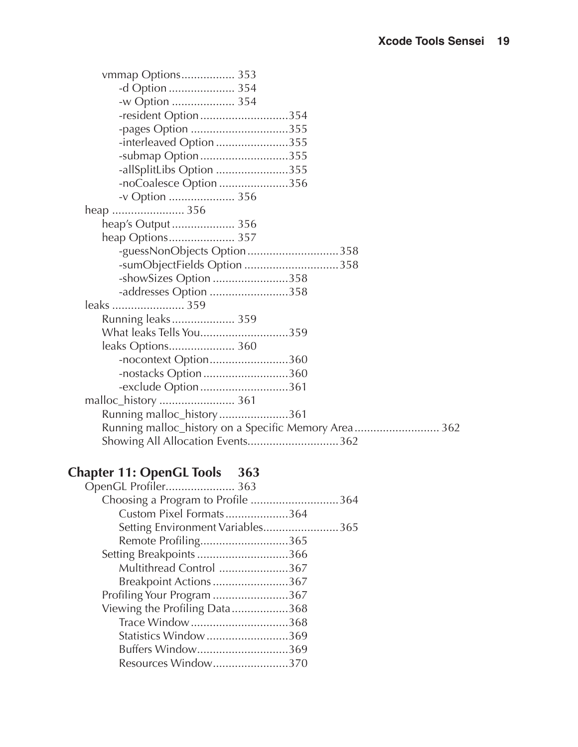<span id="page-16-0"></span>

| vmmap Options 353                                    |
|------------------------------------------------------|
| -d Option  354                                       |
| -w Option  354                                       |
| -resident Option354                                  |
| -pages Option 355                                    |
| -interleaved Option 355                              |
| -submap Option355                                    |
| -allSplitLibs Option 355                             |
| -noCoalesce Option 356                               |
| -v Option  356                                       |
|                                                      |
| heap's Output 356                                    |
|                                                      |
| -guessNonObjects Option358                           |
| -sumObjectFields Option 358                          |
| -showSizes Option 358                                |
| -addresses Option 358                                |
| leaks  359                                           |
| Running leaks 359                                    |
| What leaks Tells You359                              |
| leaks Options 360                                    |
| -nocontext Option360                                 |
| -nostacks Option360                                  |
| -exclude Option361                                   |
| malloc_history  361                                  |
| Running malloc_history361                            |
| Running malloc_history on a Specific Memory Area 362 |
| Showing All Allocation Events362                     |

# **Chapter 11: OpenGL [Tools 363](#page-0-0)**

| OpenGL Profiler 363               |  |
|-----------------------------------|--|
| Choosing a Program to Profile 364 |  |
| Custom Pixel Formats364           |  |
| Setting Environment Variables365  |  |
| Remote Profiling365               |  |
| Setting Breakpoints 366           |  |
| Multithread Control 367           |  |
| Breakpoint Actions 367            |  |
| Profiling Your Program 367        |  |
| Viewing the Profiling Data368     |  |
| Trace Window368                   |  |
| Statistics Window 369             |  |
| Buffers Window369                 |  |
| Resources Window370               |  |
|                                   |  |